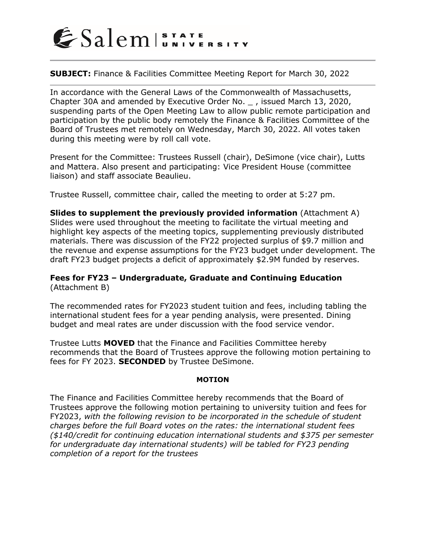

## **SUBJECT:** Finance & Facilities Committee Meeting Report for March 30, 2022

In accordance with the General Laws of the Commonwealth of Massachusetts, Chapter 30A and amended by Executive Order No. \_ , issued March 13, 2020, suspending parts of the Open Meeting Law to allow public remote participation and participation by the public body remotely the Finance & Facilities Committee of the Board of Trustees met remotely on Wednesday, March 30, 2022. All votes taken during this meeting were by roll call vote.

Present for the Committee: Trustees Russell (chair), DeSimone (vice chair), Lutts and Mattera. Also present and participating: Vice President House (committee liaison) and staff associate Beaulieu.

Trustee Russell, committee chair, called the meeting to order at 5:27 pm.

**Slides to supplement the previously provided information** (Attachment A) Slides were used throughout the meeting to facilitate the virtual meeting and highlight key aspects of the meeting topics, supplementing previously distributed materials. There was discussion of the FY22 projected surplus of \$9.7 million and the revenue and expense assumptions for the FY23 budget under development. The draft FY23 budget projects a deficit of approximately \$2.9M funded by reserves.

# **Fees for FY23 – Undergraduate, Graduate and Continuing Education**  (Attachment B)

The recommended rates for FY2023 student tuition and fees, including tabling the international student fees for a year pending analysis, were presented. Dining budget and meal rates are under discussion with the food service vendor.

Trustee Lutts **MOVED** that the Finance and Facilities Committee hereby recommends that the Board of Trustees approve the following motion pertaining to fees for FY 2023. **SECONDED** by Trustee DeSimone.

#### **MOTION**

The Finance and Facilities Committee hereby recommends that the Board of Trustees approve the following motion pertaining to university tuition and fees for FY2023, *with the following revision to be incorporated in the schedule of student charges before the full Board votes on the rates: the international student fees (\$140/credit for continuing education international students and \$375 per semester for undergraduate day international students) will be tabled for FY23 pending completion of a report for the trustees*